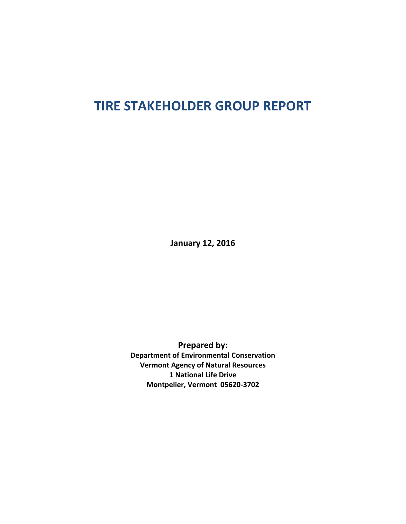# **TIRE STAKEHOLDER GROUP REPORT**

**January 12, 2016**

**Prepared by: Department of Environmental Conservation Vermont Agency of Natural Resources 1 National Life Drive Montpelier, Vermont 05620-3702**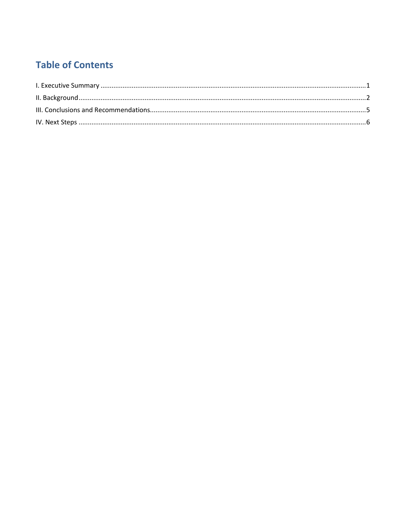## **Table of Contents**

<span id="page-1-0"></span>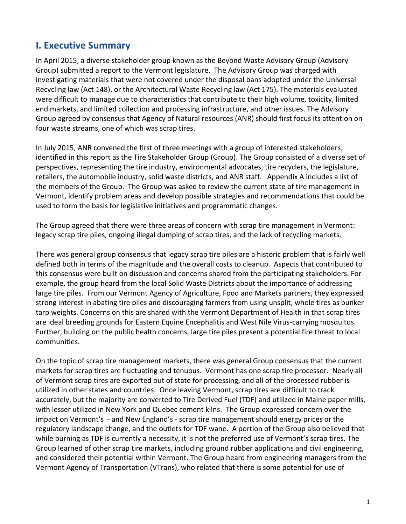### **I. Executive Summary**

In April 2015, a diverse stakeholder group known as the Beyond Waste Advisory Group (Advisory Group) submitted a report to the Vermont legislature. The Advisory Group was charged with investigating materials that were not covered under the disposal bans adopted under the Universal Recycling law (Act 148), or the Architectural Waste Recycling law (Act 175). The materials evaluated were difficult to manage due to characteristics that contribute to their high volume, toxicity, limited end markets, and limited collection and processing infrastructure, and other issues. The Advisory Group agreed by consensus that Agency of Natural resources (ANR) should first focus its attention on four waste streams, one of which was scrap tires.

In July 2015, ANR convened the first of three meetings with a group of interested stakeholders, identified in this report as the Tire Stakeholder Group (Group). The Group consisted of a diverse set of perspectives, representing the tire industry, environmental advocates, tire recyclers, the legislature, retailers, the automobile industry, solid waste districts, and ANR staff. Appendix A includes a list of the members of the Group. The Group was asked to review the current state of tire management in Vermont, identify problem areas and develop possible strategies and recommendations that could be used to form the basis for legislative initiatives and programmatic changes.

The Group agreed that there were three areas of concern with scrap tire management in Vermont: legacy scrap tire piles, ongoing illegal dumping of scrap tires, and the lack of recycling markets.

There was general group consensus that legacy scrap tire piles are a historic problem that is fairly well defined both in terms of the magnitude and the overall costs to cleanup. Aspects that contributed to this consensus were built on discussion and concerns shared from the participating stakeholders. For example, the group heard from the local Solid Waste Districts about the importance of addressing large tire piles. From our Vermont Agency of Agriculture, Food and Markets partners, they expressed strong interest in abating tire piles and discouraging farmers from using unsplit, whole tires as bunker tarp weights. Concerns on this are shared with the Vermont Department of Health in that scrap tires are ideal breeding grounds for Eastern Equine Encephalitis and West Nile Virus-carrying mosquitos. Further, building on the public health concerns, large tire piles present a potential fire threat to local communities.

On the topic of scrap tire management markets, there was general Group consensus that the current markets for scrap tires are fluctuating and tenuous. Vermont has one scrap tire processor. Nearly all of Vermont scrap tires are exported out of state for processing, and all of the processed rubber is utilized in other states and countries. Once leaving Vermont, scrap tires are difficult to track accurately, but the majority are converted to Tire Derived Fuel (TDF) and utilized in Maine paper mills, with lesser utilized in New York and Quebec cement kilns. The Group expressed concern over the impact on Vermont's - and New England's - scrap tire management should energy prices or the regulatory landscape change, and the outlets for TDF wane. A portion of the Group also believed that while burning as TDF is currently a necessity, it is not the preferred use of Vermont's scrap tires. The Group learned of other scrap tire markets, including ground rubber applications and civil engineering, and considered their potential within Vermont. The Group heard from engineering managers from the Vermont Agency of Transportation (VTrans), who related that there is some potential for use of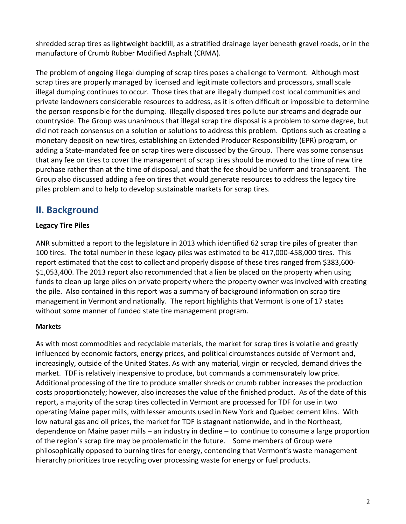shredded scrap tires as lightweight backfill, as a stratified drainage layer beneath gravel roads, or in the manufacture of Crumb Rubber Modified Asphalt (CRMA).

The problem of ongoing illegal dumping of scrap tires poses a challenge to Vermont. Although most scrap tires are properly managed by licensed and legitimate collectors and processors, small scale illegal dumping continues to occur. Those tires that are illegally dumped cost local communities and private landowners considerable resources to address, as it is often difficult or impossible to determine the person responsible for the dumping. Illegally disposed tires pollute our streams and degrade our countryside. The Group was unanimous that illegal scrap tire disposal is a problem to some degree, but did not reach consensus on a solution or solutions to address this problem. Options such as creating a monetary deposit on new tires, establishing an Extended Producer Responsibility (EPR) program, or adding a State-mandated fee on scrap tires were discussed by the Group. There was some consensus that any fee on tires to cover the management of scrap tires should be moved to the time of new tire purchase rather than at the time of disposal, and that the fee should be uniform and transparent. The Group also discussed adding a fee on tires that would generate resources to address the legacy tire piles problem and to help to develop sustainable markets for scrap tires.

### <span id="page-3-0"></span>**II. Background**

### **Legacy Tire Piles**

ANR submitted a report to the legislature in 2013 which identified 62 scrap tire piles of greater than 100 tires. The total number in these legacy piles was estimated to be 417,000-458,000 tires. This report estimated that the cost to collect and properly dispose of these tires ranged from \$383,600- \$1,053,400. The 2013 report also recommended that a lien be placed on the property when using funds to clean up large piles on private property where the property owner was involved with creating the pile. Also contained in this report was a summary of background information on scrap tire management in Vermont and nationally. The report highlights that Vermont is one of 17 states without some manner of funded state tire management program.

#### **Markets**

As with most commodities and recyclable materials, the market for scrap tires is volatile and greatly influenced by economic factors, energy prices, and political circumstances outside of Vermont and, increasingly, outside of the United States. As with any material, virgin or recycled, demand drives the market. TDF is relatively inexpensive to produce, but commands a commensurately low price. Additional processing of the tire to produce smaller shreds or crumb rubber increases the production costs proportionately; however, also increases the value of the finished product. As of the date of this report, a majority of the scrap tires collected in Vermont are processed for TDF for use in two operating Maine paper mills, with lesser amounts used in New York and Quebec cement kilns. With low natural gas and oil prices, the market for TDF is stagnant nationwide, and in the Northeast, dependence on Maine paper mills – an industry in decline – to continue to consume a large proportion of the region's scrap tire may be problematic in the future. Some members of Group were philosophically opposed to burning tires for energy, contending that Vermont's waste management hierarchy prioritizes true recycling over processing waste for energy or fuel products.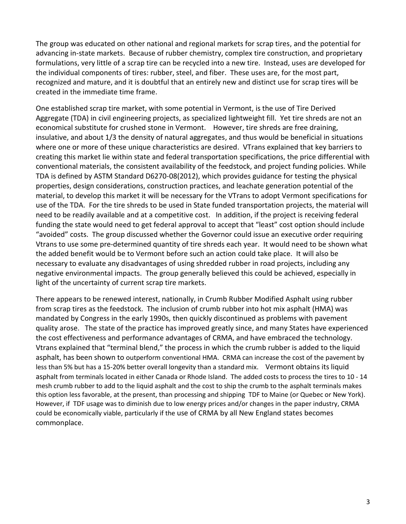The group was educated on other national and regional markets for scrap tires, and the potential for advancing in-state markets. Because of rubber chemistry, complex tire construction, and proprietary formulations, very little of a scrap tire can be recycled into a new tire. Instead, uses are developed for the individual components of tires: rubber, steel, and fiber. These uses are, for the most part, recognized and mature, and it is doubtful that an entirely new and distinct use for scrap tires will be created in the immediate time frame.

One established scrap tire market, with some potential in Vermont, is the use of Tire Derived Aggregate (TDA) in civil engineering projects, as specialized lightweight fill. Yet tire shreds are not an economical substitute for crushed stone in Vermont. However, tire shreds are free draining, insulative, and about 1/3 the density of natural aggregates, and thus would be beneficial in situations where one or more of these unique characteristics are desired. VTrans explained that key barriers to creating this market lie within state and federal transportation specifications, the price differential with conventional materials, the consistent availability of the feedstock, and project funding policies. While TDA is defined by ASTM Standard D6270-08(2012), which provides guidance for testing the physical properties, design considerations, construction practices, and leachate generation potential of the material, to develop this market it will be necessary for the VTrans to adopt Vermont specifications for use of the TDA. For the tire shreds to be used in State funded transportation projects, the material will need to be readily available and at a competitive cost. In addition, if the project is receiving federal funding the state would need to get federal approval to accept that "least" cost option should include "avoided" costs. The group discussed whether the Governor could issue an executive order requiring Vtrans to use some pre-determined quantity of tire shreds each year. It would need to be shown what the added benefit would be to Vermont before such an action could take place. It will also be necessary to evaluate any disadvantages of using shredded rubber in road projects, including any negative environmental impacts. The group generally believed this could be achieved, especially in light of the uncertainty of current scrap tire markets.

There appears to be renewed interest, nationally, in Crumb Rubber Modified Asphalt using rubber from scrap tires as the feedstock. The inclusion of crumb rubber into hot mix asphalt (HMA) was mandated by Congress in the early 1990s, then quickly discontinued as problems with pavement quality arose. The state of the practice has improved greatly since, and many States have experienced the cost effectiveness and performance advantages of CRMA, and have embraced the technology. Vtrans explained that "terminal blend," the process in which the crumb rubber is added to the liquid asphalt, has been shown to outperform conventional HMA. CRMA can increase the cost of the pavement by less than 5% but has a 15-20% better overall longevity than a standard mix. Vermont obtains its liquid asphalt from terminals located in either Canada or Rhode Island. The added costs to process the tires to 10 - 14 mesh crumb rubber to add to the liquid asphalt and the cost to ship the crumb to the asphalt terminals makes this option less favorable, at the present, than processing and shipping TDF to Maine (or Quebec or New York). However, if TDF usage was to diminish due to low energy prices and/or changes in the paper industry, CRMA could be economically viable, particularly if the use of CRMA by all New England states becomes commonplace.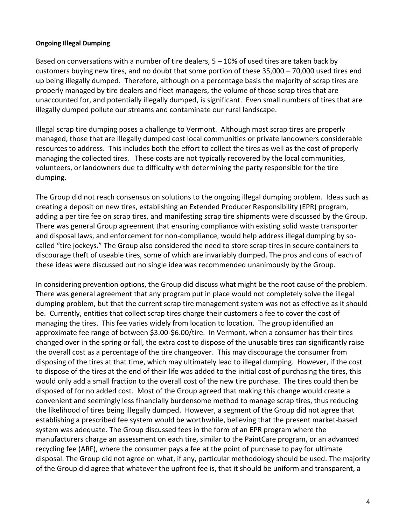#### **Ongoing Illegal Dumping**

Based on conversations with a number of tire dealers,  $5 - 10%$  of used tires are taken back by customers buying new tires, and no doubt that some portion of these 35,000 – 70,000 used tires end up being illegally dumped. Therefore, although on a percentage basis the majority of scrap tires are properly managed by tire dealers and fleet managers, the volume of those scrap tires that are unaccounted for, and potentially illegally dumped, is significant. Even small numbers of tires that are illegally dumped pollute our streams and contaminate our rural landscape.

Illegal scrap tire dumping poses a challenge to Vermont. Although most scrap tires are properly managed, those that are illegally dumped cost local communities or private landowners considerable resources to address. This includes both the effort to collect the tires as well as the cost of properly managing the collected tires. These costs are not typically recovered by the local communities, volunteers, or landowners due to difficulty with determining the party responsible for the tire dumping.

The Group did not reach consensus on solutions to the ongoing illegal dumping problem. Ideas such as creating a deposit on new tires, establishing an Extended Producer Responsibility (EPR) program, adding a per tire fee on scrap tires, and manifesting scrap tire shipments were discussed by the Group. There was general Group agreement that ensuring compliance with existing solid waste transporter and disposal laws, and enforcement for non-compliance, would help address illegal dumping by socalled "tire jockeys." The Group also considered the need to store scrap tires in secure containers to discourage theft of useable tires, some of which are invariably dumped. The pros and cons of each of these ideas were discussed but no single idea was recommended unanimously by the Group.

In considering prevention options, the Group did discuss what might be the root cause of the problem. There was general agreement that any program put in place would not completely solve the illegal dumping problem, but that the current scrap tire management system was not as effective as it should be. Currently, entities that collect scrap tires charge their customers a fee to cover the cost of managing the tires. This fee varies widely from location to location. The group identified an approximate fee range of between \$3.00-\$6.00/tire. In Vermont, when a consumer has their tires changed over in the spring or fall, the extra cost to dispose of the unusable tires can significantly raise the overall cost as a percentage of the tire changeover. This may discourage the consumer from disposing of the tires at that time, which may ultimately lead to illegal dumping. However, if the cost to dispose of the tires at the end of their life was added to the initial cost of purchasing the tires, this would only add a small fraction to the overall cost of the new tire purchase. The tires could then be disposed of for no added cost. Most of the Group agreed that making this change would create a convenient and seemingly less financially burdensome method to manage scrap tires, thus reducing the likelihood of tires being illegally dumped. However, a segment of the Group did not agree that establishing a prescribed fee system would be worthwhile, believing that the present market-based system was adequate. The Group discussed fees in the form of an EPR program where the manufacturers charge an assessment on each tire, similar to the PaintCare program, or an advanced recycling fee (ARF), where the consumer pays a fee at the point of purchase to pay for ultimate disposal. The Group did not agree on what, if any, particular methodology should be used. The majority of the Group did agree that whatever the upfront fee is, that it should be uniform and transparent, a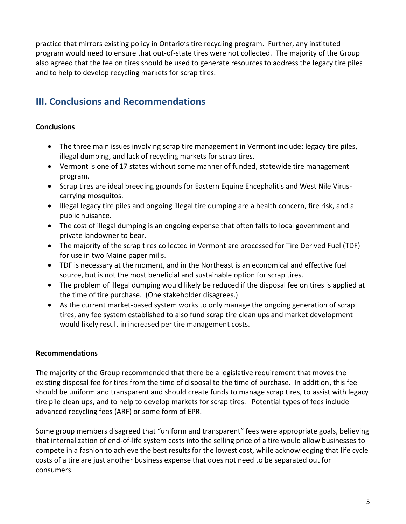practice that mirrors existing policy in Ontario's tire recycling program. Further, any instituted program would need to ensure that out-of-state tires were not collected. The majority of the Group also agreed that the fee on tires should be used to generate resources to address the legacy tire piles and to help to develop recycling markets for scrap tires.

### <span id="page-6-0"></span>**III. Conclusions and Recommendations**

### **Conclusions**

- The three main issues involving scrap tire management in Vermont include: legacy tire piles, illegal dumping, and lack of recycling markets for scrap tires.
- Vermont is one of 17 states without some manner of funded, statewide tire management program.
- Scrap tires are ideal breeding grounds for Eastern Equine Encephalitis and West Nile Viruscarrying mosquitos.
- Illegal legacy tire piles and ongoing illegal tire dumping are a health concern, fire risk, and a public nuisance.
- The cost of illegal dumping is an ongoing expense that often falls to local government and private landowner to bear.
- The majority of the scrap tires collected in Vermont are processed for Tire Derived Fuel (TDF) for use in two Maine paper mills.
- TDF is necessary at the moment, and in the Northeast is an economical and effective fuel source, but is not the most beneficial and sustainable option for scrap tires.
- The problem of illegal dumping would likely be reduced if the disposal fee on tires is applied at the time of tire purchase. (One stakeholder disagrees.)
- As the current market-based system works to only manage the ongoing generation of scrap tires, any fee system established to also fund scrap tire clean ups and market development would likely result in increased per tire management costs.

### **Recommendations**

The majority of the Group recommended that there be a legislative requirement that moves the existing disposal fee for tires from the time of disposal to the time of purchase. In addition, this fee should be uniform and transparent and should create funds to manage scrap tires, to assist with legacy tire pile clean ups, and to help to develop markets for scrap tires. Potential types of fees include advanced recycling fees (ARF) or some form of EPR.

Some group members disagreed that "uniform and transparent" fees were appropriate goals, believing that internalization of end-of-life system costs into the selling price of a tire would allow businesses to compete in a fashion to achieve the best results for the lowest cost, while acknowledging that life cycle costs of a tire are just another business expense that does not need to be separated out for consumers.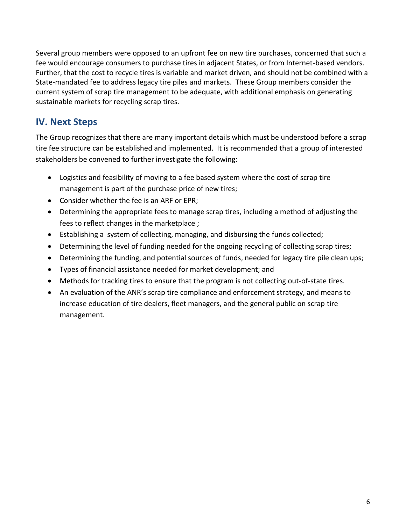Several group members were opposed to an upfront fee on new tire purchases, concerned that such a fee would encourage consumers to purchase tires in adjacent States, or from Internet-based vendors. Further, that the cost to recycle tires is variable and market driven, and should not be combined with a State-mandated fee to address legacy tire piles and markets. These Group members consider the current system of scrap tire management to be adequate, with additional emphasis on generating sustainable markets for recycling scrap tires.

### <span id="page-7-0"></span>**IV. Next Steps**

The Group recognizes that there are many important details which must be understood before a scrap tire fee structure can be established and implemented. It is recommended that a group of interested stakeholders be convened to further investigate the following:

- Logistics and feasibility of moving to a fee based system where the cost of scrap tire management is part of the purchase price of new tires;
- Consider whether the fee is an ARF or EPR;
- Determining the appropriate fees to manage scrap tires, including a method of adjusting the fees to reflect changes in the marketplace ;
- Establishing a system of collecting, managing, and disbursing the funds collected;
- Determining the level of funding needed for the ongoing recycling of collecting scrap tires;
- Determining the funding, and potential sources of funds, needed for legacy tire pile clean ups;
- Types of financial assistance needed for market development; and
- Methods for tracking tires to ensure that the program is not collecting out-of-state tires.
- An evaluation of the ANR's scrap tire compliance and enforcement strategy, and means to increase education of tire dealers, fleet managers, and the general public on scrap tire management.